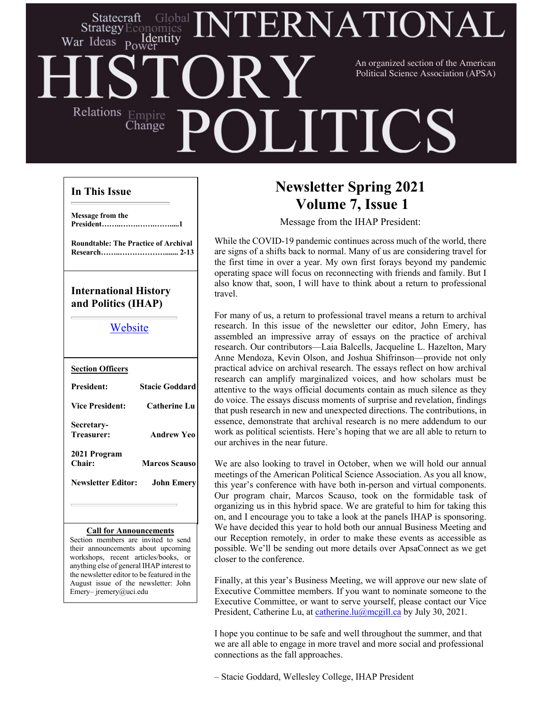### ERNATIONA Statecraft **Strategy** Ecor nomics Identity War Ideas Power An organized section of the American Political Science Association (APSA)Relations Empire **LITICS** Change

#### **In This Issue**

**Message from the President……..…….…….…….....1**

**Roundtable: The Practice of Archival Research……..………………....... 2-13**

## **International History and Politics (IHAP)**

### Website

| <b>Section Officers</b>         |                       |
|---------------------------------|-----------------------|
| <b>President:</b>               | <b>Stacie Goddard</b> |
| <b>Vice President:</b>          | <b>Catherine Lu</b>   |
| Secretary-<br><b>Treasurer:</b> | <b>Andrew Yeo</b>     |
| 2021 Program<br>Chair:          | <b>Marcos Scauso</b>  |
| Newsletter Editor:              | <b>John Emery</b>     |
|                                 |                       |

#### **Call for Announcements**

Section members are invited to send their announcements about upcoming workshops, recent articles/books, or anything else of general IHAP interest to the newsletter editor to be featured in the August issue of the newsletter: John Emery– jremery@uci.edu

# **Newsletter Spring 2021 Volume 7, Issue 1**

Message from the IHAP President:

While the COVID-19 pandemic continues across much of the world, there are signs of a shifts back to normal. Many of us are considering travel for the first time in over a year. My own first forays beyond my pandemic operating space will focus on reconnecting with friends and family. But I also know that, soon, I will have to think about a return to professional travel.

For many of us, a return to professional travel means a return to archival research. In this issue of the newsletter our editor, John Emery, has assembled an impressive array of essays on the practice of archival research. Our contributors—Laia Balcells, Jacqueline L. Hazelton, Mary Anne Mendoza, Kevin Olson, and Joshua Shifrinson—provide not only practical advice on archival research. The essays reflect on how archival research can amplify marginalized voices, and how scholars must be attentive to the ways official documents contain as much silence as they do voice. The essays discuss moments of surprise and revelation, findings that push research in new and unexpected directions. The contributions, in essence, demonstrate that archival research is no mere addendum to our work as political scientists. Here's hoping that we are all able to return to our archives in the near future.

We are also looking to travel in October, when we will hold our annual meetings of the American Political Science Association. As you all know, this year's conference with have both in-person and virtual components. Our program chair, Marcos Scauso, took on the formidable task of organizing us in this hybrid space. We are grateful to him for taking this on, and I encourage you to take a look at the panels IHAP is sponsoring. We have decided this year to hold both our annual Business Meeting and our Reception remotely, in order to make these events as accessible as possible. We'll be sending out more details over ApsaConnect as we get closer to the conference.

Finally, at this year's Business Meeting, we will approve our new slate of Executive Committee members. If you want to nominate someone to the Executive Committee, or want to serve yourself, please contact our Vice President, Catherine Lu, at catherine.lu@mcgill.ca by July 30, 2021.

I hope you continue to be safe and well throughout the summer, and that we are all able to engage in more travel and more social and professional connections as the fall approaches.

– Stacie Goddard, Wellesley College, IHAP President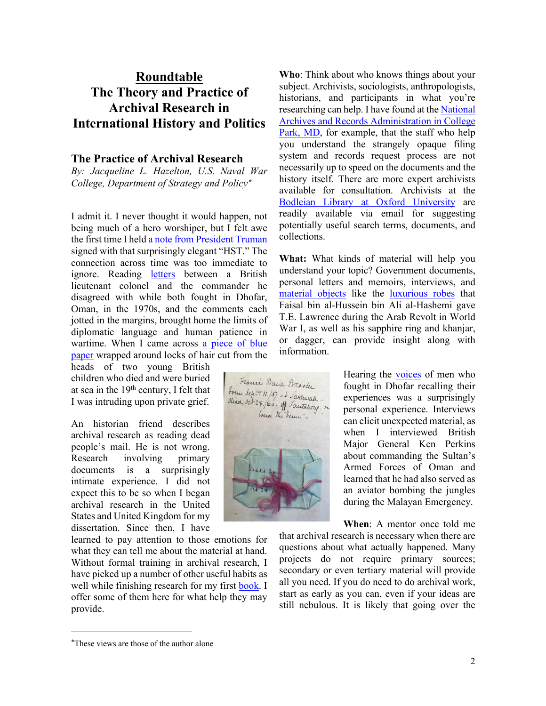# **Roundtable The Theory and Practice of Archival Research in International History and Politics**

#### **The Practice of Archival Research**

*By: Jacqueline L. Hazelton, U.S. Naval War College, Department of Strategy and Policy*\*

I admit it. I never thought it would happen, not being much of a hero worshiper, but I felt awe the first time I held a note from President Truman signed with that surprisingly elegant "HST." The connection across time was too immediate to ignore. Reading letters between a British lieutenant colonel and the commander he disagreed with while both fought in Dhofar, Oman, in the 1970s, and the comments each jotted in the margins, brought home the limits of diplomatic language and human patience in wartime. When I came across a piece of blue paper wrapped around locks of hair cut from the

heads of two young British children who died and were buried at sea in the 19th century, I felt that I was intruding upon private grief.

An historian friend describes archival research as reading dead people's mail. He is not wrong. Research involving primary documents is a surprisingly intimate experience. I did not expect this to be so when I began archival research in the United States and United Kingdom for my dissertation. Since then, I have

learned to pay attention to those emotions for what they can tell me about the material at hand. Without formal training in archival research, I have picked up a number of other useful habits as well while finishing research for my first book. I offer some of them here for what help they may provide.

**Who**: Think about who knows things about your subject. Archivists, sociologists, anthropologists, historians, and participants in what you're researching can help. I have found at the National Archives and Records Administration in College Park, MD, for example, that the staff who help you understand the strangely opaque filing system and records request process are not necessarily up to speed on the documents and the history itself. There are more expert archivists available for consultation. Archivists at the Bodleian Library at Oxford University are readily available via email for suggesting potentially useful search terms, documents, and collections.

**What:** What kinds of material will help you understand your topic? Government documents, personal letters and memoirs, interviews, and material objects like the luxurious robes that Faisal bin al-Hussein bin Ali al-Hashemi gave T.E. Lawrence during the Arab Revolt in World War I, as well as his sapphire ring and khanjar, or dagger, can provide insight along with information.

> Hearing the **voices** of men who fought in Dhofar recalling their experiences was a surprisingly personal experience. Interviews can elicit unexpected material, as when I interviewed British Major General Ken Perkins about commanding the Sultan's Armed Forces of Oman and learned that he had also served as an aviator bombing the jungles during the Malayan Emergency.

> **When**: A mentor once told me

that archival research is necessary when there are questions about what actually happened. Many projects do not require primary sources; secondary or even tertiary material will provide all you need. If you do need to do archival work, start as early as you can, even if your ideas are still nebulous. It is likely that going over the



<sup>\*</sup> These views are those of the author alone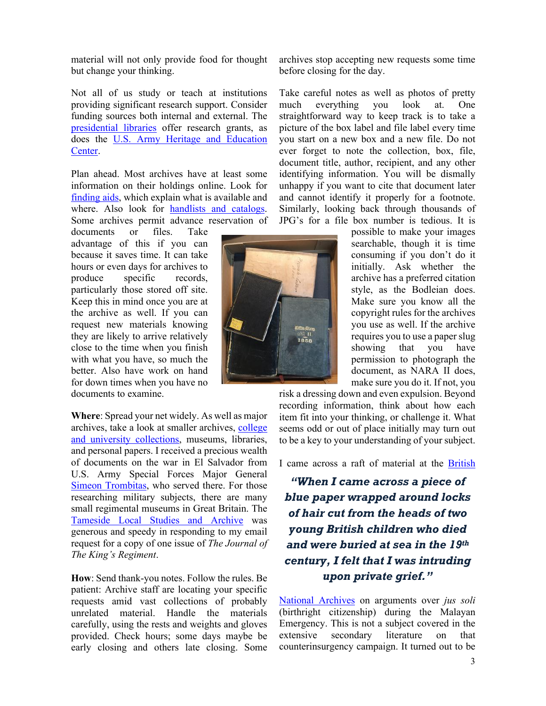material will not only provide food for thought but change your thinking.

Not all of us study or teach at institutions providing significant research support. Consider funding sources both internal and external. The presidential libraries offer research grants, as does the U.S. Army Heritage and Education Center.

Plan ahead. Most archives have at least some information on their holdings online. Look for finding aids, which explain what is available and where. Also look for handlists and catalogs. Some archives permit advance reservation of

documents or files. Take advantage of this if you can because it saves time. It can take hours or even days for archives to produce specific records, particularly those stored off site. Keep this in mind once you are at the archive as well. If you can request new materials knowing they are likely to arrive relatively close to the time when you finish with what you have, so much the better. Also have work on hand for down times when you have no documents to examine.

**Where**: Spread your net widely. As well as major archives, take a look at smaller archives, college and university collections, museums, libraries, and personal papers. I received a precious wealth of documents on the war in El Salvador from U.S. Army Special Forces Major General Simeon Trombitas, who served there. For those researching military subjects, there are many small regimental museums in Great Britain. The Tameside Local Studies and Archive was generous and speedy in responding to my email request for a copy of one issue of *The Journal of The King's Regiment*.

**How**: Send thank-you notes. Follow the rules. Be patient: Archive staff are locating your specific requests amid vast collections of probably unrelated material. Handle the materials carefully, using the rests and weights and gloves provided. Check hours; some days maybe be early closing and others late closing. Some

archives stop accepting new requests some time before closing for the day.

Take careful notes as well as photos of pretty much everything you look at. One straightforward way to keep track is to take a picture of the box label and file label every time you start on a new box and a new file. Do not ever forget to note the collection, box, file, document title, author, recipient, and any other identifying information. You will be dismally unhappy if you want to cite that document later and cannot identify it properly for a footnote. Similarly, looking back through thousands of JPG's for a file box number is tedious. It is

> possible to make your images searchable, though it is time consuming if you don't do it initially. Ask whether the archive has a preferred citation style, as the Bodleian does. Make sure you know all the copyright rules for the archives you use as well. If the archive requires you to use a paperslug showing that you have permission to photograph the document, as NARA II does, make sure you do it. If not, you

risk a dressing down and even expulsion. Beyond recording information, think about how each item fit into your thinking, or challenge it. What seems odd or out of place initially may turn out to be a key to your understanding of your subject.

I came across a raft of material at the British

*"When I came across a piece of blue paper wrapped around locks of hair cut from the heads of two young British children who died and were buried at sea in the 19th century, I felt that I was intruding upon private grief."*

National Archives on arguments over *jus soli* (birthright citizenship) during the Malayan Emergency. This is not a subject covered in the extensive secondary literature on that counterinsurgency campaign. It turned out to be

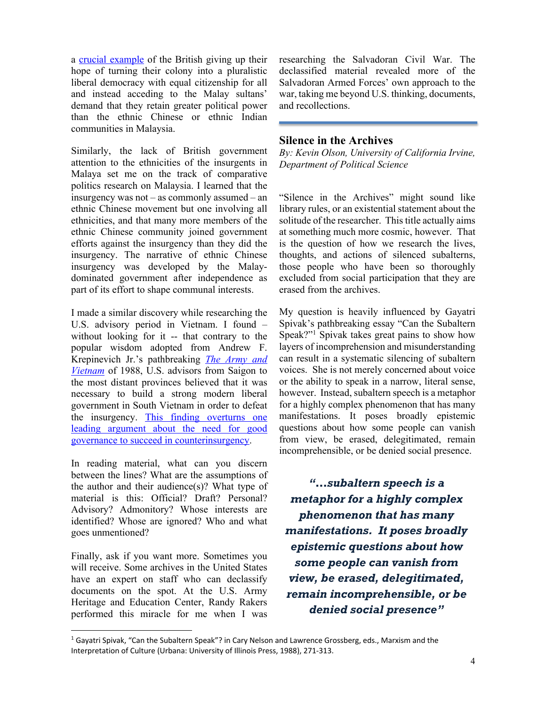a crucial example of the British giving up their hope of turning their colony into a pluralistic liberal democracy with equal citizenship for all and instead acceding to the Malay sultans' demand that they retain greater political power than the ethnic Chinese or ethnic Indian communities in Malaysia.

Similarly, the lack of British government attention to the ethnicities of the insurgents in Malaya set me on the track of comparative politics research on Malaysia. I learned that the insurgency was not – as commonly assumed – an ethnic Chinese movement but one involving all ethnicities, and that many more members of the ethnic Chinese community joined government efforts against the insurgency than they did the insurgency. The narrative of ethnic Chinese insurgency was developed by the Malaydominated government after independence as part of its effort to shape communal interests.

I made a similar discovery while researching the U.S. advisory period in Vietnam. I found – without looking for it -- that contrary to the popular wisdom adopted from Andrew F. Krepinevich Jr.'s pathbreaking *The Army and Vietnam* of 1988, U.S. advisors from Saigon to the most distant provinces believed that it was necessary to build a strong modern liberal government in South Vietnam in order to defeat the insurgency. This finding overturns one leading argument about the need for good governance to succeed in counterinsurgency.

In reading material, what can you discern between the lines? What are the assumptions of the author and their audience $(s)$ ? What type of material is this: Official? Draft? Personal? Advisory? Admonitory? Whose interests are identified? Whose are ignored? Who and what goes unmentioned?

Finally, ask if you want more. Sometimes you will receive. Some archives in the United States have an expert on staff who can declassify documents on the spot. At the U.S. Army Heritage and Education Center, Randy Rakers performed this miracle for me when I was

researching the Salvadoran Civil War. The declassified material revealed more of the Salvadoran Armed Forces' own approach to the war, taking me beyond U.S. thinking, documents, and recollections.

#### **Silence in the Archives**

*By: Kevin Olson, University of California Irvine, Department of Political Science*

"Silence in the Archives" might sound like library rules, or an existential statement about the solitude of the researcher. This title actually aims at something much more cosmic, however. That is the question of how we research the lives, thoughts, and actions of silenced subalterns, those people who have been so thoroughly excluded from social participation that they are erased from the archives.

My question is heavily influenced by Gayatri Spivak's pathbreaking essay "Can the Subaltern Speak?"1 Spivak takes great pains to show how layers of incomprehension and misunderstanding can result in a systematic silencing of subaltern voices. She is not merely concerned about voice or the ability to speak in a narrow, literal sense, however. Instead, subaltern speech is a metaphor for a highly complex phenomenon that has many manifestations. It poses broadly epistemic questions about how some people can vanish from view, be erased, delegitimated, remain incomprehensible, or be denied social presence.

*"…subaltern speech is a metaphor for a highly complex phenomenon that has many manifestations. It poses broadly epistemic questions about how some people can vanish from view, be erased, delegitimated, remain incomprehensible, or be denied social presence"*

 $1$  Gayatri Spivak, "Can the Subaltern Speak"? in Cary Nelson and Lawrence Grossberg, eds., Marxism and the Interpretation of Culture (Urbana: University of Illinois Press, 1988), 271-313.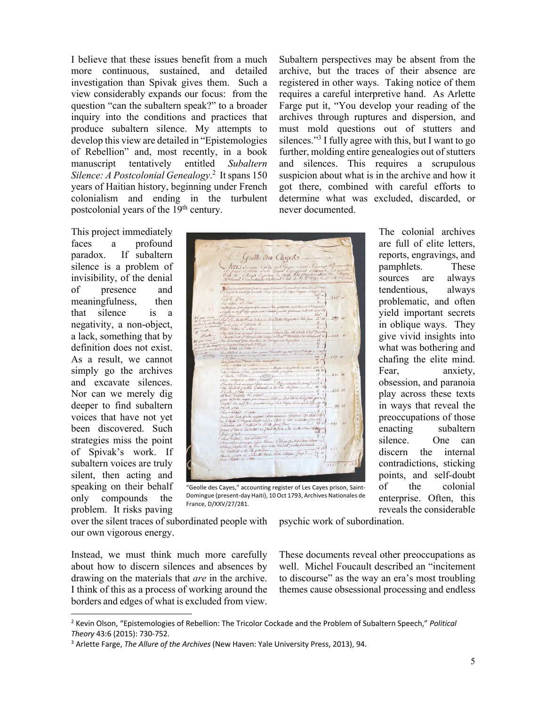I believe that these issues benefit from a much more continuous, sustained, and detailed investigation than Spivak gives them. Such a view considerably expands our focus: from the question "can the subaltern speak?" to a broader inquiry into the conditions and practices that produce subaltern silence. My attempts to develop this view are detailed in "Epistemologies of Rebellion" and, most recently, in a book<br>manuscript tentatively entitled Subaltern manuscript tentatively entitled *Subaltern Silence: A Postcolonial Genealogy*. 2 Itspans 150 years of Haitian history, beginning under French colonialism and ending in the turbulent postcolonial years of the 19<sup>th</sup> century.

This project immediately faces a profound paradox. If subaltern silence is a problem of invisibility, of the denial of presence and meaningfulness, then that silence is a negativity, a non-object, a lack, something that by definition does not exist. As a result, we cannot simply go the archives and excavate silences. Nor can we merely dig deeper to find subaltern voices that have not yet been discovered. Such strategies miss the point of Spivak's work. If subaltern voices are truly silent, then acting and speaking on their behalf only compounds the problem. It risks paving

Geotte Des Cayeds lar  $000$ 

"Geolle des Cayes," accounting register of Les Cayes prison, Saint-Domingue (present-day Haiti), 10 Oct 1793, Archives Nationales de France, D/XXV/27/281.

over the silent traces of subordinated people with our own vigorous energy.

psychic work of subordination.

Instead, we must think much more carefully about how to discern silences and absences by drawing on the materials that *are* in the archive. I think of this as a process of working around the borders and edges of what is excluded from view.

These documents reveal other preoccupations as well. Michel Foucault described an "incitement to discourse" as the way an era's most troubling themes cause obsessional processing and endless

requires a careful interpretive hand. As Arlette Farge put it, "You develop your reading of the archives through ruptures and dispersion, and must mold questions out of stutters and silences."3 I fully agree with this, but I want to go further, molding entire genealogies out of stutters and silences. This requires a scrupulous suspicion about what is in the archive and how it got there, combined with careful efforts to determine what was excluded, discarded, or never documented. The colonial archives are full of elite letters, reports, engravings, and pamphlets. These sources are always

Subaltern perspectives may be absent from the archive, but the traces of their absence are registered in other ways. Taking notice of them

> tendentious, always problematic, and often yield important secrets in oblique ways. They give vivid insights into what was bothering and chafing the elite mind. Fear, anxiety, obsession, and paranoia play across these texts in ways that reveal the preoccupations of those enacting subaltern silence. One can discern the internal contradictions, sticking points, and self-doubt of the colonial enterprise. Often, this reveals the considerable

<sup>2</sup> Kevin Olson, "Epistemologies of Rebellion: The Tricolor Cockade and the Problem of Subaltern Speech," *Political Theory* 43:6 (2015): 730-752.

<sup>3</sup> Arlette Farge, *The Allure of the Archives* (New Haven: Yale University Press, 2013), 94.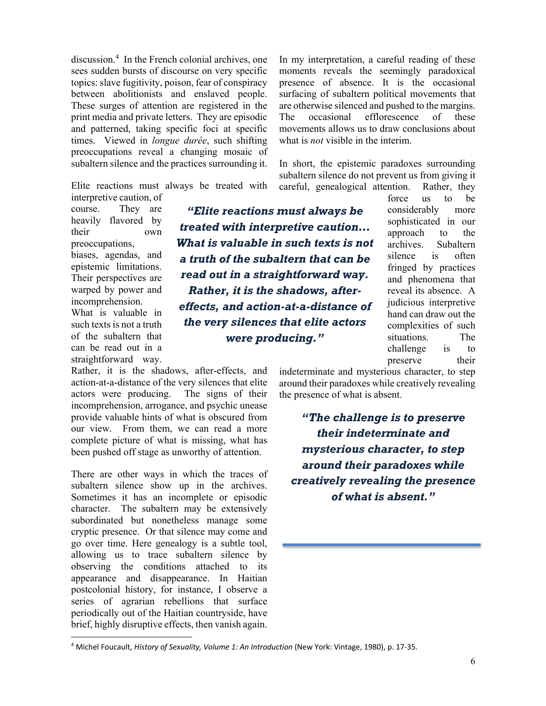discussion.4 In the French colonial archives, one sees sudden bursts of discourse on very specific topics: slave fugitivity, poison, fear of conspiracy between abolitionists and enslaved people. These surges of attention are registered in the print media and private letters. They are episodic and patterned, taking specific foci at specific times. Viewed in *longue durée*, such shifting preoccupations reveal a changing mosaic of subaltern silence and the practices surrounding it.

Elite reactions must always be treated with

interpretive caution, of course. They are heavily flavored by their own preoccupations, biases, agendas, and epistemic limitations. Their perspectives are warped by power and incomprehension. What is valuable in such texts is not a truth of the subaltern that can be read out in a straightforward way.

Rather, it is the shadows, after-effects, and action-at-a-distance of the very silences that elite actors were producing. The signs of their incomprehension, arrogance, and psychic unease provide valuable hints of what is obscured from our view. From them, we can read a more complete picture of what is missing, what has been pushed off stage as unworthy of attention.

There are other ways in which the traces of subaltern silence show up in the archives. Sometimes it has an incomplete or episodic character. The subaltern may be extensively subordinated but nonetheless manage some cryptic presence. Or that silence may come and go over time. Here genealogy is a subtle tool, allowing us to trace subaltern silence by observing the conditions attached to its appearance and disappearance. In Haitian postcolonial history, for instance, I observe a series of agrarian rebellions that surface periodically out of the Haitian countryside, have brief, highly disruptive effects, then vanish again.

In my interpretation, a careful reading of these moments reveals the seemingly paradoxical presence of absence. It is the occasional surfacing of subaltern political movements that are otherwise silenced and pushed to the margins. The occasional efflorescence of these movements allows us to draw conclusions about what is *not* visible in the interim.

In short, the epistemic paradoxes surrounding subaltern silence do not prevent us from giving it careful, genealogical attention. Rather, they

*"Elite reactions must always be treated with interpretive caution… What is valuable in such texts is not a truth of the subaltern that can be read out in a straightforward way. Rather, it is the shadows, aftereffects, and action-at-a-distance of the very silences that elite actors were producing."*

force us to be considerably more sophisticated in our approach to the archives. Subaltern silence is often fringed by practices and phenomena that reveal its absence. A judicious interpretive hand can draw out the complexities of such situations. The challenge is to preserve their

indeterminate and mysterious character, to step around their paradoxes while creatively revealing the presence of what is absent.

*"The challenge is to preserve their indeterminate and mysterious character, to step around their paradoxes while creatively revealing the presence of what is absent."*

<sup>4</sup> Michel Foucault, *History of Sexuality, Volume 1: An Introduction* (New York: Vintage, 1980), p. 17-35.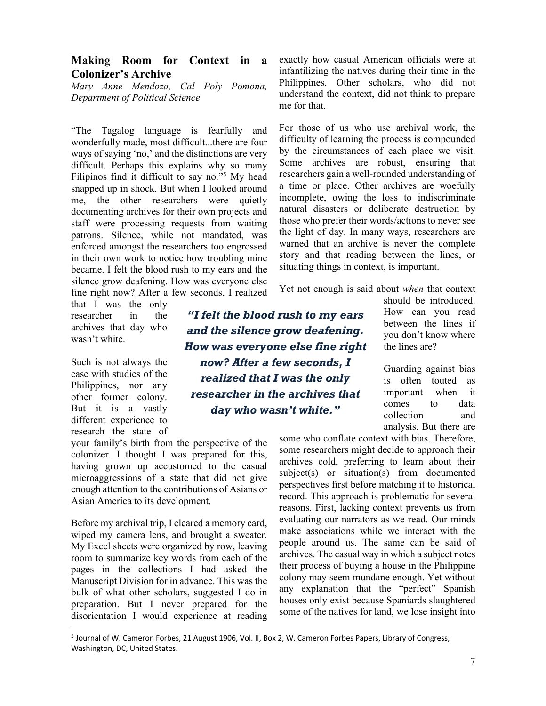#### **Making Room for Context in a Colonizer's Archive**

*Mary Anne Mendoza, Cal Poly Pomona, Department of Political Science*

"The Tagalog language is fearfully and wonderfully made, most difficult...there are four ways of saying 'no,' and the distinctions are very difficult. Perhaps this explains why so many Filipinos find it difficult to say no."5 My head snapped up in shock. But when I looked around me, the other researchers were quietly documenting archives for their own projects and staff were processing requests from waiting patrons. Silence, while not mandated, was enforced amongst the researchers too engrossed in their own work to notice how troubling mine became. I felt the blood rush to my ears and the silence grow deafening. How was everyone else fine right now? After a few seconds, I realized

that I was the only researcher in the archives that day who wasn't white.

Such is not always the case with studies of the Philippines, nor any other former colony. But it is a vastly different experience to research the state of

your family's birth from the perspective of the colonizer. I thought I was prepared for this, having grown up accustomed to the casual microaggressions of a state that did not give enough attention to the contributions of Asians or Asian America to its development.

Before my archival trip, I cleared a memory card, wiped my camera lens, and brought a sweater. My Excel sheets were organized by row, leaving room to summarize key words from each of the pages in the collections I had asked the Manuscript Division for in advance. This was the bulk of what other scholars, suggested I do in preparation. But I never prepared for the disorientation I would experience at reading

exactly how casual American officials were at infantilizing the natives during their time in the Philippines. Other scholars, who did not understand the context, did not think to prepare me for that.

For those of us who use archival work, the difficulty of learning the process is compounded by the circumstances of each place we visit. Some archives are robust, ensuring that researchers gain a well-rounded understanding of a time or place. Other archives are woefully incomplete, owing the loss to indiscriminate natural disasters or deliberate destruction by those who prefer their words/actions to never see the light of day. In many ways, researchers are warned that an archive is never the complete story and that reading between the lines, or situating things in context, is important.

Yet not enough is said about *when* that context

*"I felt the blood rush to my ears and the silence grow deafening. How was everyone else fine right now? After a few seconds, I realized that I was the only researcher in the archives that day who wasn't white."*

should be introduced. How can you read between the lines if you don't know where the lines are?

Guarding against bias is often touted as important when it comes to data collection and analysis. But there are

some who conflate context with bias. Therefore, some researchers might decide to approach their archives cold, preferring to learn about their subject(s) or situation(s) from documented perspectives first before matching it to historical record. This approach is problematic for several reasons. First, lacking context prevents us from evaluating our narrators as we read. Our minds make associations while we interact with the people around us. The same can be said of archives. The casual way in which a subject notes their process of buying a house in the Philippine colony may seem mundane enough. Yet without any explanation that the "perfect" Spanish houses only exist because Spaniards slaughtered some of the natives for land, we lose insight into

<sup>5</sup> Journal of W. Cameron Forbes, 21 August 1906, Vol. II, Box 2, W. Cameron Forbes Papers, Library of Congress, Washington, DC, United States.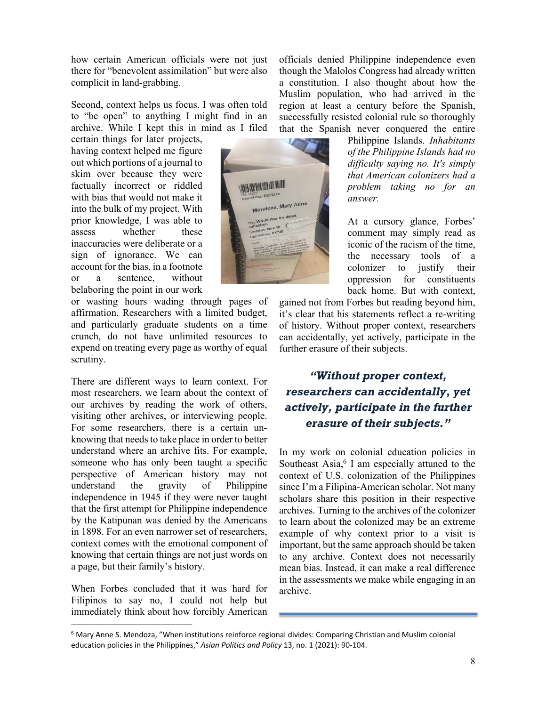how certain American officials were not just there for "benevolent assimilation" but were also complicit in land-grabbing.

Second, context helps us focus. I was often told to "be open" to anything I might find in an archive. While I kept this in mind as I filed

certain things for later projects, having context helped me figure out which portions of a journal to skim over because they were factually incorrect or riddled with bias that would not make it into the bulk of my project. With prior knowledge, I was able to assess whether these inaccuracies were deliberate or a sign of ignorance. We can account for the bias, in a footnote or a sentence, without belaboring the point in our work

or wasting hours wading through pages of affirmation. Researchers with a limited budget, and particularly graduate students on a time crunch, do not have unlimited resources to expend on treating every page as worthy of equal scrutiny.

There are different ways to learn context. For most researchers, we learn about the context of our archives by reading the work of others, visiting other archives, or interviewing people. For some researchers, there is a certain unknowing that needs to take place in order to better understand where an archive fits. For example, someone who has only been taught a specific perspective of American history may not understand the gravity of Philippine independence in 1945 if they were never taught that the first attempt for Philippine independence by the Katipunan was denied by the Americans in 1898. For an even narrower set of researchers, context comes with the emotional component of knowing that certain things are not just words on a page, but their family's history.

When Forbes concluded that it was hard for Filipinos to say no, I could not help but immediately think about how forcibly American officials denied Philippine independence even though the Malolos Congress had already written a constitution. I also thought about how the Muslim population, who had arrived in the region at least a century before the Spanish, successfully resisted colonial rule so thoroughly that the Spanish never conquered the entire

> Philippine Islands. *Inhabitants of the Philippine Islands had no difficulty saying no. It's simply that American colonizers had a problem taking no for an answer.*

> At a cursory glance, Forbes' comment may simply read as iconic of the racism of the time, the necessary tools of a colonizer to justify their oppression for constituents back home. But with context,

gained not from Forbes but reading beyond him, it's clear that his statements reflect a re-writing of history. Without proper context, researchers can accidentally, yet actively, participate in the further erasure of their subjects.

# *"Without proper context, researchers can accidentally, yet actively, participate in the further erasure of their subjects."*

In my work on colonial education policies in Southeast Asia, $6 \text{ I}$  am especially attuned to the context of U.S. colonization of the Philippines since I'm a Filipina-American scholar. Not many scholars share this position in their respective archives. Turning to the archives of the colonizer to learn about the colonized may be an extreme example of why context prior to a visit is important, but the same approach should be taken to any archive. Context does not necessarily mean bias. Instead, it can make a real difference in the assessments we make while engaging in an archive.

<u> Ana kao amin'ny fivondronan-</u>

Mendoza, Mary Anne uar II St

<sup>&</sup>lt;sup>6</sup> Mary Anne S. Mendoza, "When institutions reinforce regional divides: Comparing Christian and Muslim colonial education policies in the Philippines," *Asian Politics and Policy* 13, no. 1 (2021): 90-104.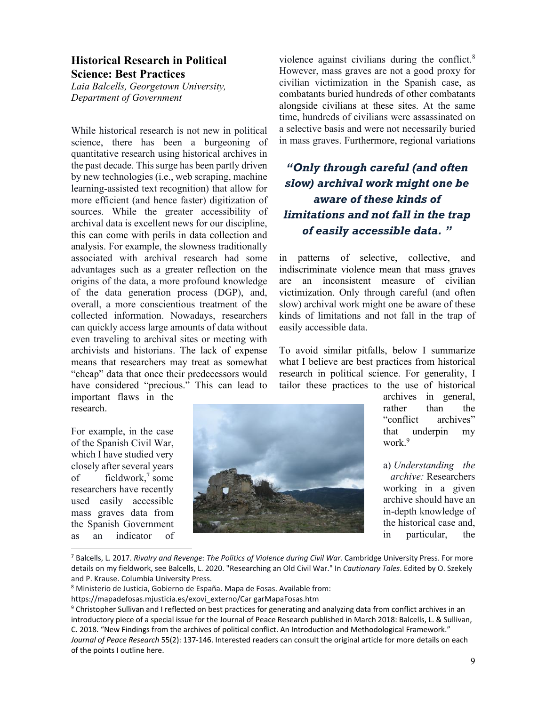### **Historical Research in Political Science: Best Practices**

*Laia Balcells, Georgetown University, Department of Government*

While historical research is not new in political science, there has been a burgeoning of quantitative research using historical archives in the past decade. This surge has been partly driven by new technologies (i.e., web scraping, machine learning-assisted text recognition) that allow for more efficient (and hence faster) digitization of sources. While the greater accessibility of archival data is excellent news for our discipline, this can come with perils in data collection and analysis. For example, the slowness traditionally associated with archival research had some advantages such as a greater reflection on the origins of the data, a more profound knowledge of the data generation process (DGP), and, overall, a more conscientious treatment of the collected information. Nowadays, researchers can quickly access large amounts of data without even traveling to archival sites or meeting with archivists and historians. The lack of expense means that researchers may treat as somewhat "cheap" data that once their predecessors would have considered "precious." This can lead to important flaws in the

research.

For example, in the case of the Spanish Civil War, which I have studied very closely after several years of fieldwork,7 some researchers have recently used easily accessible mass graves data from the Spanish Government as an indicator of violence against civilians during the conflict.8 However, mass graves are not a good proxy for civilian victimization in the Spanish case, as combatants buried hundreds of other combatants alongside civilians at these sites. At the same time, hundreds of civilians were assassinated on a selective basis and were not necessarily buried in mass graves. Furthermore, regional variations

# *"Only through careful (and often slow) archival work might one be aware of these kinds of limitations and not fall in the trap of easily accessible data. "*

in patterns of selective, collective, and indiscriminate violence mean that mass graves are an inconsistent measure of civilian victimization. Only through careful (and often slow) archival work might one be aware of these kinds of limitations and not fall in the trap of easily accessible data.

To avoid similar pitfalls, below I summarize what I believe are best practices from historical research in political science. For generality, I tailor these practices to the use of historical



archives in general, rather than the "conflict archives" that underpin my work.9

a) *Understanding the archive:* Researchers working in a given archive should have an in-depth knowledge of the historical case and, in particular, the

<sup>7</sup> Balcells, L. 2017. *Rivalry and Revenge: The Politics of Violence during Civil War.* Cambridge University Press. For more details on my fieldwork, see Balcells, L. 2020. "Researching an Old Civil War." In *Cautionary Tales*. Edited by O. Szekely and P. Krause. Columbia University Press.

<sup>8</sup> Ministerio de Justicia, Gobierno de España. Mapa de Fosas. Available from:

https://mapadefosas.mjusticia.es/exovi\_externo/Car garMapaFosas.htm

<sup>&</sup>lt;sup>9</sup> Christopher Sullivan and I reflected on best practices for generating and analyzing data from conflict archives in an introductory piece of a special issue for the Journal of Peace Research published in March 2018: Balcells, L. & Sullivan, C. 2018. "New Findings from the archives of political conflict. An Introduction and Methodological Framework." *Journal of Peace Research* 55(2): 137-146. Interested readers can consult the original article for more details on each of the points I outline here.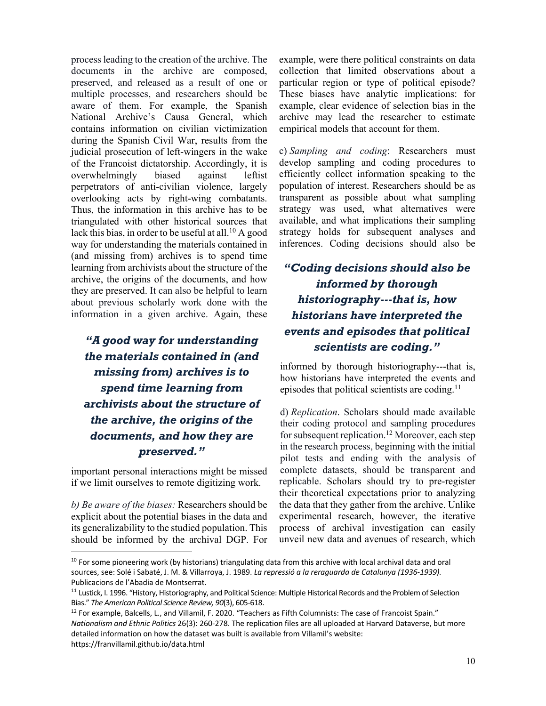process leading to the creation of the archive. The documents in the archive are composed, preserved, and released as a result of one or multiple processes, and researchers should be aware of them. For example, the Spanish National Archive's Causa General, which contains information on civilian victimization during the Spanish Civil War, results from the judicial prosecution of left-wingers in the wake of the Francoist dictatorship. Accordingly, it is overwhelmingly biased against leftist perpetrators of anti-civilian violence, largely overlooking acts by right-wing combatants. Thus, the information in this archive has to be triangulated with other historical sources that lack this bias, in order to be useful at all.<sup>10</sup> A good way for understanding the materials contained in (and missing from) archives is to spend time learning from archivists about the structure of the archive, the origins of the documents, and how they are preserved. It can also be helpful to learn about previous scholarly work done with the information in a given archive. Again, these

# *scientists are coding." "A good way for understanding the materials contained in (and missing from) archives is to spend time learning from archivists about the structure of the archive, the origins of the documents, and how they are preserved."*

important personal interactions might be missed if we limit ourselves to remote digitizing work.

*b) Be aware of the biases:* Researchers should be explicit about the potential biases in the data and its generalizability to the studied population. This should be informed by the archival DGP. For example, were there political constraints on data collection that limited observations about a particular region or type of political episode? These biases have analytic implications: for example, clear evidence of selection bias in the archive may lead the researcher to estimate empirical models that account for them.

c) *Sampling and coding*: Researchers must develop sampling and coding procedures to efficiently collect information speaking to the population of interest. Researchers should be as transparent as possible about what sampling strategy was used, what alternatives were available, and what implications their sampling strategy holds for subsequent analyses and inferences. Coding decisions should also be

# *"Coding decisions should also be informed by thorough historiography---that is, how historians have interpreted the events and episodes that political*

informed by thorough historiography---that is, how historians have interpreted the events and episodes that political scientists are coding.<sup>11</sup>

d) *Replication*. Scholars should made available their coding protocol and sampling procedures for subsequent replication.<sup>12</sup> Moreover, each step in the research process, beginning with the initial pilot tests and ending with the analysis of complete datasets, should be transparent and replicable. Scholars should try to pre-register their theoretical expectations prior to analyzing the data that they gather from the archive. Unlike experimental research, however, the iterative process of archival investigation can easily unveil new data and avenues of research, which

 $10$  For some pioneering work (by historians) triangulating data from this archive with local archival data and oral sources, see: Solé i Sabaté, J. M. & Villarroya, J. 1989. *La repressió a la reraguarda de Catalunya (1936-1939).* Publicacions de l'Abadia de Montserrat.

<sup>&</sup>lt;sup>11</sup> Lustick, I. 1996. "History, Historiography, and Political Science: Multiple Historical Records and the Problem of Selection Bias." *The American Political Science Review, 90*(3), 605-618.

 $12$  For example, Balcells, L., and Villamil, F. 2020. "Teachers as Fifth Columnists: The case of Francoist Spain." *Nationalism and Ethnic Politics* 26(3): 260-278. The replication files are all uploaded at Harvard Dataverse, but more detailed information on how the dataset was built is available from Villamil's website: https://franvillamil.github.io/data.html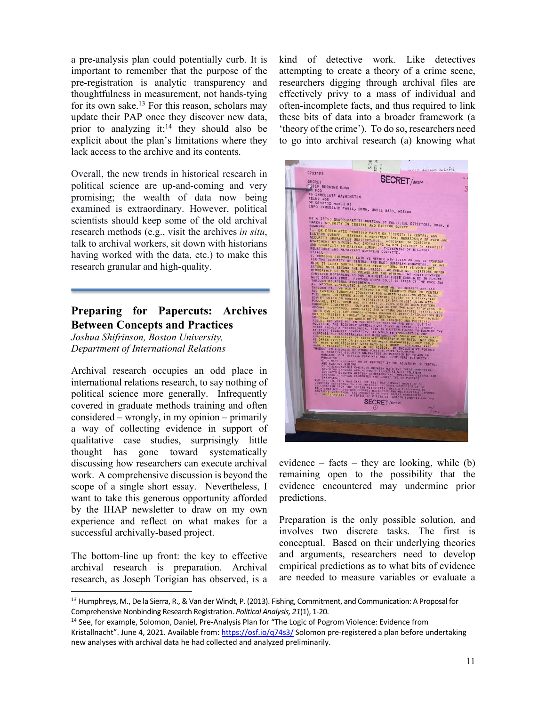a pre-analysis plan could potentially curb. It is important to remember that the purpose of the pre-registration is analytic transparency and thoughtfulness in measurement, not hands-tying for its own sake.13 For this reason, scholars may update their PAP once they discover new data, prior to analyzing  $it; 14$  they should also be explicit about the plan's limitations where they lack access to the archive and its contents.

Overall, the new trends in historical research in political science are up-and-coming and very promising; the wealth of data now being examined is extraordinary. However, political scientists should keep some of the old archival research methods (e.g., visit the archives *in situ*, talk to archival workers, sit down with historians having worked with the data, etc.) to make this research granular and high-quality.

### **Preparing for Papercuts: Archives Between Concepts and Practices**

*Joshua Shifrinson, Boston University, Department of International Relations*

Archival research occupies an odd place in international relations research, to say nothing of political science more generally. Infrequently covered in graduate methods training and often considered – wrongly, in my opinion – primarily a way of collecting evidence in support of qualitative case studies, surprisingly little thought has gone toward systematically discussing how researchers can execute archival work. A comprehensive discussion is beyond the scope of a single short essay. Nevertheless, I want to take this generous opportunity afforded by the IHAP newsletter to draw on my own experience and reflect on what makes for a successful archivally-based project.

The bottom-line up front: the key to effective archival research is preparation. Archival research, as Joseph Torigian has observed, is a kind of detective work. Like detectives attempting to create a theory of a crime scene, researchers digging through archival files are effectively privy to a mass of individual and often-incomplete facts, and thus required to link these bits of data into a broader framework (a 'theory of the crime'). To do so, researchers need to go into archival research (a) knowing what



evidence – facts – they are looking, while  $(b)$ remaining open to the possibility that the evidence encountered may undermine prior predictions.

Preparation is the only possible solution, and involves two discrete tasks. The first is conceptual. Based on their underlying theories and arguments, researchers need to develop empirical predictions as to what bits of evidence are needed to measure variables or evaluate a

<sup>&</sup>lt;sup>13</sup> Humphreys, M., De la Sierra, R., & Van der Windt, P. (2013). Fishing, Commitment, and Communication: A Proposal for Comprehensive Nonbinding Research Registration. *Political Analysis, 21*(1), 1-20.

<sup>&</sup>lt;sup>14</sup> See, for example, Solomon, Daniel, Pre-Analysis Plan for "The Logic of Pogrom Violence: Evidence from Kristallnacht". June 4, 2021. Available from: https://osf.io/q74s3/ Solomon pre-registered a plan before undertaking new analyses with archival data he had collected and analyzed preliminarily.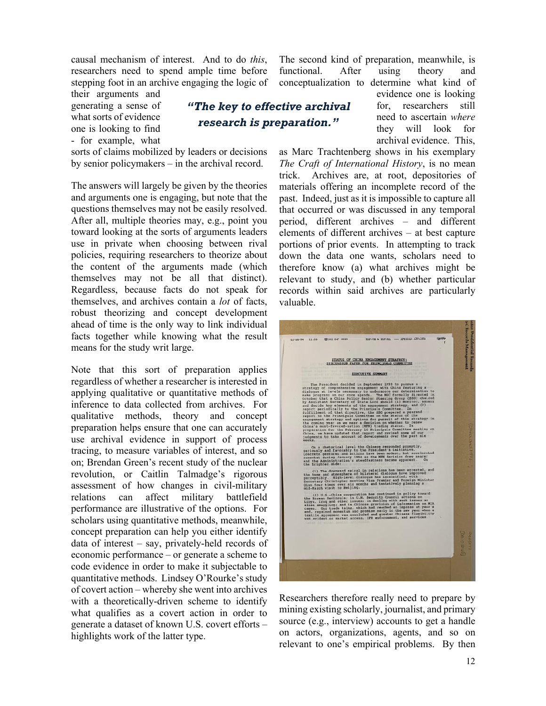causal mechanism of interest. And to do *this*, researchers need to spend ample time before stepping foot in an archive engaging the logic of

their arguments and generating a sense of what sorts of evidence one is looking to find - for example, what

sorts of claims mobilized by leaders or decisions by senior policymakers – in the archival record.

The answers will largely be given by the theories and arguments one is engaging, but note that the questions themselves may not be easily resolved. After all, multiple theories may, e.g., point you toward looking at the sorts of arguments leaders use in private when choosing between rival policies, requiring researchers to theorize about the content of the arguments made (which themselves may not be all that distinct). Regardless, because facts do not speak for themselves, and archives contain a *lot* of facts, robust theorizing and concept development ahead of time is the only way to link individual facts together while knowing what the result means for the study writ large.

Note that this sort of preparation applies regardless of whether a researcher is interested in applying qualitative or quantitative methods of inference to data collected from archives. For qualitative methods, theory and concept preparation helps ensure that one can accurately use archival evidence in support of process tracing, to measure variables of interest, and so on; Brendan Green's recent study of the nuclear revolution, or Caitlin Talmadge's rigorous assessment of how changes in civil-military relations can affect military battlefield performance are illustrative of the options. For scholars using quantitative methods, meanwhile, concept preparation can help you either identify data of interest – say, privately-held records of economic performance – or generate a scheme to code evidence in order to make it subjectable to quantitative methods. Lindsey O'Rourke's study of covert action – whereby she went into archives with a theoretically-driven scheme to identify what qualifies as a covert action in order to generate a dataset of known U.S. covert efforts – highlights work of the latter type.

The second kind of preparation, meanwhile, is functional. After using theory and conceptualization to determine what kind of

## *"The key to effective archival research is preparation."*

evidence one is looking for, researchers still need to ascertain *where* they will look for archival evidence. This,

as Marc Trachtenberg shows in his exemplary *The Craft of International History*, is no mean trick. Archives are, at root, depositories of materials offering an incomplete record of the past. Indeed, just as it is impossible to capture all that occurred or was discussed in any temporal period, different archives – and different elements of different archives – at best capture portions of prior events. In attempting to track down the data one wants, scholars need to therefore know (a) what archives might be relevant to study, and (b) whether particular records within said archives are particularly valuable.



Researchers therefore really need to prepare by mining existing scholarly, journalist, and primary source (e.g., interview) accounts to get a handle on actors, organizations, agents, and so on relevant to one's empirical problems. By then